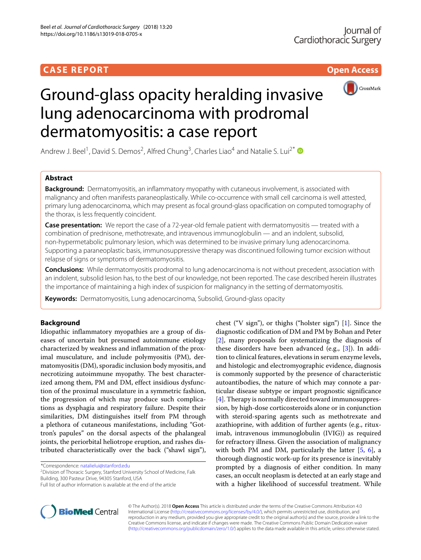## **CASE REPORT CASE REPORT Open Access**



# Ground-glass opacity heralding invasive lung adenocarcinoma with prodromal dermatomyositis: a case report

Andrew J. Beel<sup>1</sup>, David S. Demos<sup>2</sup>, Alfred Chung<sup>3</sup>, Charles Liao<sup>4</sup> and Natalie S. Lui<sup>2\*</sup>

## **Abstract**

**Background:** Dermatomyositis, an inflammatory myopathy with cutaneous involvement, is associated with malignancy and often manifests paraneoplastically. While co-occurrence with small cell carcinoma is well attested, primary lung adenocarcinoma, which may present as focal ground-glass opacification on computed tomography of the thorax, is less frequently coincident.

**Case presentation:** We report the case of a 72-year-old female patient with dermatomyositis — treated with a combination of prednisone, methotrexate, and intravenous immunoglobulin — and an indolent, subsolid, non-hypermetabolic pulmonary lesion, which was determined to be invasive primary lung adenocarcinoma. Supporting a paraneoplastic basis, immunosuppressive therapy was discontinued following tumor excision without relapse of signs or symptoms of dermatomyositis.

**Conclusions:** While dermatomyositis prodromal to lung adenocarcinoma is not without precedent, association with an indolent, subsolid lesion has, to the best of our knowledge, not been reported. The case described herein illustrates the importance of maintaining a high index of suspicion for malignancy in the setting of dermatomyositis.

**Keywords:** Dermatomyositis, Lung adenocarcinoma, Subsolid, Ground-glass opacity

## **Background**

Idiopathic inflammatory myopathies are a group of diseases of uncertain but presumed autoimmune etiology characterized by weakness and inflammation of the proximal musculature, and include polymyositis (PM), dermatomyositis (DM), sporadic inclusion body myositis, and necrotizing autoimmune myopathy. The best characterized among them, PM and DM, effect insidious dysfunction of the proximal musculature in a symmetric fashion, the progression of which may produce such complications as dysphagia and respiratory failure. Despite their similarities, DM distinguishes itself from PM through a plethora of cutaneous manifestations, including "Gottron's papules" on the dorsal aspects of the phalangeal joints, the periorbital heliotrope eruption, and rashes distributed characteristically over the back ("shawl sign"),

\*Correspondence: [natalielui@stanford.edu](mailto: natalielui@stanford.edu)

2Division of Thoracic Surgery, Stanford University School of Medicine, Falk Building, 300 Pasteur Drive, 94305 Stanford, USA

chest ("V sign"), or thighs ("holster sign") [\[1\]](#page-4-0). Since the diagnostic codification of DM and PM by Bohan and Peter [\[2\]](#page-4-1), many proposals for systematizing the diagnosis of these disorders have been advanced (e.g., [\[3\]](#page-4-2)). In addition to clinical features, elevations in serum enzyme levels, and histologic and electromyographic evidence, diagnosis is commonly supported by the presence of characteristic autoantibodies, the nature of which may connote a particular disease subtype or impart prognostic significance [\[4\]](#page-4-3). Therapy is normally directed toward immunosuppression, by high-dose corticosteroids alone or in conjunction with steroid-sparing agents such as methotrexate and azathioprine, with addition of further agents (e.g., rituximab, intravenous immunoglobulin (IVIG)) as required for refractory illness. Given the association of malignancy with both PM and DM, particularly the latter  $[5, 6]$  $[5, 6]$  $[5, 6]$ , a thorough diagnostic work-up for its presence is inevitably prompted by a diagnosis of either condition. In many cases, an occult neoplasm is detected at an early stage and with a higher likelihood of successful treatment. While



© The Author(s). 2018 **Open Access** This article is distributed under the terms of the Creative Commons Attribution 4.0 International License [\(http://creativecommons.org/licenses/by/4.0/\)](http://creativecommons.org/licenses/by/4.0/), which permits unrestricted use, distribution, and reproduction in any medium, provided you give appropriate credit to the original author(s) and the source, provide a link to the Creative Commons license, and indicate if changes were made. The Creative Commons Public Domain Dedication waiver [\(http://creativecommons.org/publicdomain/zero/1.0/\)](http://creativecommons.org/publicdomain/zero/1.0/) applies to the data made available in this article, unless otherwise stated.

Full list of author information is available at the end of the article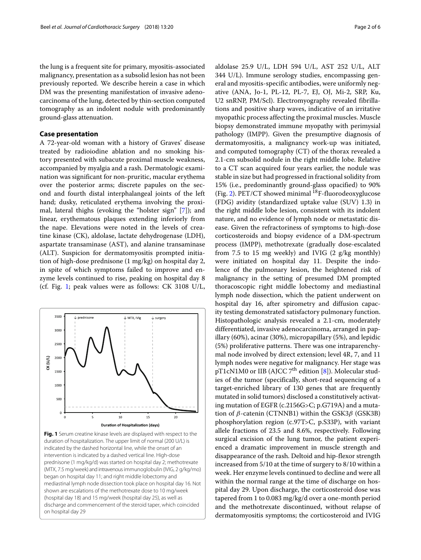the lung is a frequent site for primary, myositis-associated malignancy, presentation as a subsolid lesion has not been previously reported. We describe herein a case in which DM was the presenting manifestation of invasive adenocarcinoma of the lung, detected by thin-section computed tomography as an indolent nodule with predominantly ground-glass attenuation.

## **Case presentation**

A 72-year-old woman with a history of Graves' disease treated by radioiodine ablation and no smoking history presented with subacute proximal muscle weakness, accompanied by myalgia and a rash. Dermatologic examination was significant for non-pruritic, macular erythema over the posterior arms; discrete papules on the second and fourth distal interphalangeal joints of the left hand; dusky, reticulated erythema involving the proximal, lateral thighs (evoking the "holster sign" [\[7\]](#page-4-6)); and linear, erythematous plaques extending inferiorly from the nape. Elevations were noted in the levels of creatine kinase (CK), aldolase, lactate dehydrogenase (LDH), aspartate transaminase (AST), and alanine transaminase (ALT). Suspicion for dermatomyositis prompted initiation of high-dose prednisone (1 mg/kg) on hospital day 2, in spite of which symptoms failed to improve and enzyme levels continued to rise, peaking on hospital day 8 (cf. Fig. [1;](#page-1-0) peak values were as follows: CK 3108 U/L,



<span id="page-1-0"></span>**Fig. 1** Serum creatine kinase levels are displayed with respect to the duration of hospitalization. The upper limit of normal (200 U/L) is indicated by the dashed horizontal line, while the onset of an intervention is indicated by a dashed vertical line. High-dose prednisone (1 mg/kg/d) was started on hospital day 2; methotrexate (MTX, 7.5 mg/week) and intravenous immunoglobulin (IVIG, 2 g/kg/mo) began on hospital day 11; and right middle lobectomy and mediastinal lymph node dissection took place on hospital day 16. Not shown are escalations of the methotrexate dose to 10 mg/week (hospital day 18) and 15 mg/week (hospital day 25), as well as discharge and commencement of the steroid taper, which coincided on hospital day 29

aldolase 25.9 U/L, LDH 594 U/L, AST 252 U/L, ALT 344 U/L). Immune serology studies, encompassing general and myositis-specific antibodies, were uniformly negative (ANA, Jo-1, PL-12, PL-7, EJ, OJ, Mi-2, SRP, Ku, U2 snRNP, PM/Scl). Electromyography revealed fibrillations and positive sharp waves, indicative of an irritative myopathic process affecting the proximal muscles. Muscle biopsy demonstrated immune myopathy with perimysial pathology (IMPP). Given the presumptive diagnosis of dermatomyositis, a malignancy work-up was initiated, and computed tomography (CT) of the thorax revealed a 2.1-cm subsolid nodule in the right middle lobe. Relative to a CT scan acquired four years earlier, the nodule was stable in size but had progressed in fractional solidity from 15% (i.e., predominantly ground-glass opacified) to 90% (Fig. [2\)](#page-2-0). PET/CT showed minimal  $^{18}$ F-fluorodeoxyglucose (FDG) avidity (standardized uptake value (SUV) 1.3) in the right middle lobe lesion, consistent with its indolent nature, and no evidence of lymph node or metastatic disease. Given the refractoriness of symptoms to high-dose corticosteroids and biopsy evidence of a DM-spectrum process (IMPP), methotrexate (gradually dose-escalated from 7.5 to 15 mg weekly) and IVIG  $(2 \text{ g/kg monthly})$ were initiated on hospital day 11. Despite the indolence of the pulmonary lesion, the heightened risk of malignancy in the setting of presumed DM prompted thoracoscopic right middle lobectomy and mediastinal lymph node dissection, which the patient underwent on hospital day 16, after spirometry and diffusion capacity testing demonstrated satisfactory pulmonary function. Histopathologic analysis revealed a 2.1-cm, moderately differentiated, invasive adenocarcinoma, arranged in papillary (60%), acinar (30%), micropapillary (5%), and lepidic (5%) proliferative patterns. There was one intraparenchymal node involved by direct extension; level 4R, 7, and 11 lymph nodes were negative for malignancy. Her stage was pT1cN1M0 or IIB (AJCC  $7^{\text{th}}$  edition [\[8\]](#page-4-7)). Molecular studies of the tumor (specifically, short-read sequencing of a target-enriched library of 130 genes that are frequently mutated in solid tumors) disclosed a constitutively activating mutation of EGFR (c.2156G>C; p.G719A) and a mutation of  $\beta$ -catenin (CTNNB1) within the GSK3 $\beta$  (GSK3B) phosphorylation region (c.97T>C, p.S33P), with variant allele fractions of 23.5 and 8.6%, respectively. Following surgical excision of the lung tumor, the patient experienced a dramatic improvement in muscle strength and disappearance of the rash. Deltoid and hip-flexor strength increased from 5/10 at the time of surgery to 8/10 within a week. Her enzyme levels continued to decline and were all within the normal range at the time of discharge on hospital day 29. Upon discharge, the corticosteroid dose was tapered from 1 to 0.083 mg/kg/d over a one-month period and the methotrexate discontinued, without relapse of dermatomyositis symptoms; the corticosteroid and IVIG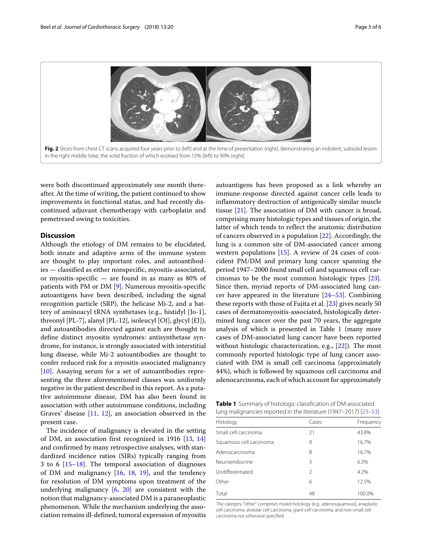

<span id="page-2-0"></span>were both discontinued approximately one month thereafter. At the time of writing, the patient continued to show improvements in functional status, and had recently discontinued adjuvant chemotherapy with carboplatin and pemetrexed owing to toxicities.

## **Discussion**

Although the etiology of DM remains to be elucidated, both innate and adaptive arms of the immune system are thought to play important roles, and autoantibodies — classified as either nonspecific, myositis-associated, or myositis-specific — are found in as many as 80% of patients with PM or DM [\[9\]](#page-4-8). Numerous myositis-specific autoantigens have been described, including the signal recognition particle (SRP), the helicase Mi-2, and a battery of aminoacyl tRNA synthetases (e.g., histidyl [Jo-1], threonyl [PL-7], alanyl [PL-12], isoleucyl [OJ], glycyl [EJ]), and autoantibodies directed against each are thought to define distinct myositis syndromes: antisynthetase syndrome, for instance, is strongly associated with interstitial lung disease, while Mi-2 autoantibodies are thought to confer reduced risk for a myositis-associated malignancy [\[10\]](#page-4-9). Assaying serum for a set of autoantibodies representing the three aforementioned classes was uniformly negative in the patient described in this report. As a putative autoimmune disease, DM has also been found in association with other autoimmune conditions, including Graves' disease [\[11,](#page-4-10) [12\]](#page-4-11), an association observed in the present case.

The incidence of malignancy is elevated in the setting of DM, an association first recognized in 1916 [\[13,](#page-4-12) [14\]](#page-4-13) and confirmed by many retrospective analyses, with standardized incidence ratios (SIRs) typically ranging from 3 to 6 [\[15–](#page-4-14)[18\]](#page-4-15). The temporal association of diagnoses of DM and malignancy  $[16, 18, 19]$  $[16, 18, 19]$  $[16, 18, 19]$  $[16, 18, 19]$  $[16, 18, 19]$ , and the tendency for resolution of DM symptoms upon treatment of the underlying malignancy [\[6,](#page-4-5) [20\]](#page-4-18) are consistent with the notion that malignancy-associated DM is a paraneoplastic phenomenon. While the mechanism underlying the association remains ill-defined, tumoral expression of myositis autoantigens has been proposed as a link whereby an immune-response directed against cancer cells leads to inflammatory destruction of antigenically similar muscle tissue [\[21\]](#page-4-19). The association of DM with cancer is broad, comprising many histologic types and tissues of origin, the latter of which tends to reflect the anatomic distribution of cancers observed in a population [\[22\]](#page-4-20). Accordingly, the lung is a common site of DM-associated cancer among western populations  $[15]$ . A review of 24 cases of coincident PM/DM and primary lung cancer spanning the period 1947–2000 found small cell and squamous cell carcinomas to be the most common histologic types [\[23\]](#page-4-21). Since then, myriad reports of DM-associated lung cancer have appeared in the literature [\[24](#page-4-22)[–53\]](#page-5-0). Combining these reports with those of Fujita et al. [\[23\]](#page-4-21) gives nearly 50 cases of dermatomyositis-associated, histologically determined lung cancer over the past 70 years, the aggregate analysis of which is presented in Table [1](#page-2-1) (many more cases of DM-associated lung cancer have been reported without histologic characterization, e.g., [\[22\]](#page-4-20)). The most commonly reported histologic type of lung cancer associated with DM is small cell carcinoma (approximately 44%), which is followed by squamous cell carcinoma and adenocarcinoma, each of which account for approximately

**Table 1** Summary of histologic classification of DM-associated lung malignancies reported in the literature (1947–2017) [\[23](#page-4-21)[–53\]](#page-5-0)

<span id="page-2-1"></span>

| Histology               | Cases          | Frequency |
|-------------------------|----------------|-----------|
| Small cell carcinoma    | 21             | 43.8%     |
| Squamous cell carcinoma | 8              | 16.7%     |
| Adenocarcinoma          | 8              | 16.7%     |
| Neuroendocrine          | 3              | 6.3%      |
| Undifferentiated        | $\mathfrak{D}$ | 4.2%      |
| Other                   | 6              | 12.5%     |
| Total                   | 48             | 100.0%    |

The category "other" comprises mixed histology (e.g., adenosquamous), anaplastic cell carcinoma, alveolar cell carcinoma, giant cell carcinoma, and non-small cell carcinoma not otherwise specified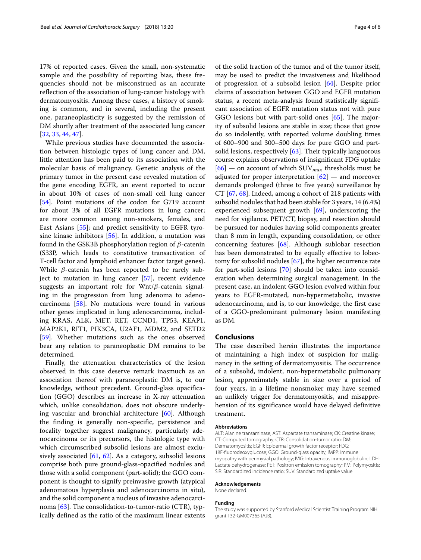17% of reported cases. Given the small, non-systematic sample and the possibility of reporting bias, these frequencies should not be misconstrued as an accurate reflection of the association of lung-cancer histology with dermatomyositis. Among these cases, a history of smoking is common, and in several, including the present one, paraneoplasticity is suggested by the remission of DM shortly after treatment of the associated lung cancer [\[32,](#page-4-23) [33,](#page-4-24) [44,](#page-5-1) [47\]](#page-5-2).

While previous studies have documented the association between histologic types of lung cancer and DM, little attention has been paid to its association with the molecular basis of malignancy. Genetic analysis of the primary tumor in the present case revealed mutation of the gene encoding EGFR, an event reported to occur in about 10% of cases of non-small cell lung cancer [\[54\]](#page-5-3). Point mutations of the codon for G719 account for about 3% of all EGFR mutations in lung cancer; are more common among non-smokers, females, and East Asians [\[55\]](#page-5-4); and predict sensitivity to EGFR tyrosine kinase inhibitors [\[56\]](#page-5-5). In addition, a mutation was found in the GSK3B phosphorylation region of  $\beta$ -catenin (S33P, which leads to constitutive transactivation of T-cell factor and lymphoid enhancer factor target genes). While  $\beta$ -catenin has been reported to be rarely subject to mutation in lung cancer [\[57\]](#page-5-6), recent evidence suggests an important role for Wnt/ $\beta$ -catenin signaling in the progression from lung adenoma to adenocarcinoma [\[58\]](#page-5-7). No mutations were found in various other genes implicated in lung adenocarcinoma, including KRAS, ALK, MET, RET, CCND1, TP53, KEAP1, MAP2K1, RIT1, PIK3CA, U2AF1, MDM2, and SETD2 [\[59\]](#page-5-8). Whether mutations such as the ones observed bear any relation to paraneoplastic DM remains to be determined.

Finally, the attenuation characteristics of the lesion observed in this case deserve remark inasmuch as an association thereof with paraneoplastic DM is, to our knowledge, without precedent. Ground-glass opacification (GGO) describes an increase in X-ray attenuation which, unlike consolidation, does not obscure underlying vascular and bronchial architecture [\[60\]](#page-5-9). Although the finding is generally non-specific, persistence and focality together suggest malignancy, particularly adenocarcinoma or its precursors, the histologic type with which circumscribed subsolid lesions are almost exclu-sively associated [\[61,](#page-5-10) [62\]](#page-5-11). As a category, subsolid lesions comprise both pure ground-glass-opacified nodules and those with a solid component (part-solid); the GGO component is thought to signify preinvasive growth (atypical adenomatous hyperplasia and adenocarcinoma in situ), and the solid component a nucleus of invasive adenocarcinoma  $[63]$ . The consolidation-to-tumor-ratio (CTR), typically defined as the ratio of the maximum linear extents

of the solid fraction of the tumor and of the tumor itself, may be used to predict the invasiveness and likelihood of progression of a subsolid lesion [\[64\]](#page-5-13). Despite prior claims of association between GGO and EGFR mutation status, a recent meta-analysis found statistically significant association of EGFR mutation status not with pure GGO lesions but with part-solid ones [\[65\]](#page-5-14). The majority of subsolid lesions are stable in size; those that grow do so indolently, with reported volume doubling times of 600–900 and 300–500 days for pure GGO and partsolid lesions, respectively [\[63\]](#page-5-12). Their typically languorous course explains observations of insignificant FDG uptake [\[66\]](#page-5-15) — on account of which SUV*max* thresholds must be adjusted for proper interpretation  $[62]$  — and moreover demands prolonged (three to five years) surveillance by CT [\[67,](#page-5-16) [68\]](#page-5-17). Indeed, among a cohort of 218 patients with subsolid nodules that had been stable for 3 years, 14 (6.4%) experienced subsequent growth [\[69\]](#page-5-18), underscoring the need for vigilance. PET/CT, biopsy, and resection should be pursued for nodules having solid components greater than 8 mm in length, expanding consolidation, or other concerning features [\[68\]](#page-5-17). Although sublobar resection has been demonstrated to be equally effective to lobectomy for subsolid nodules [\[67\]](#page-5-16), the higher recurrence rate for part-solid lesions [\[70\]](#page-5-19) should be taken into consideration when determining surgical management. In the present case, an indolent GGO lesion evolved within four years to EGFR-mutated, non-hypermetabolic, invasive adenocarcinoma, and is, to our knowledge, the first case of a GGO-predominant pulmonary lesion manifesting as DM.

#### **Conclusions**

The case described herein illustrates the importance of maintaining a high index of suspicion for malignancy in the setting of dermatomyositis. The occurrence of a subsolid, indolent, non-hypermetabolic pulmonary lesion, approximately stable in size over a period of four years, in a lifetime nonsmoker may have seemed an unlikely trigger for dermatomyositis, and misapprehension of its significance would have delayed definitive treatment.

#### **Abbreviations**

ALT: Alanine transaminase; AST: Aspartate transaminase; CK: Creatine kinase; CT: Computed tomography; CTR: Consolidation-tumor ratio; DM: Dermatomyositis; EGFR: Epidermal growth factor receptor; FDG: 18F-fluorodeoxyglucose; GGO: Ground-glass opacity; IMPP: Immune myopathy with perimysial pathology; IVIG: Intravenous immunoglobulin; LDH: Lactate dehydrogenase; PET: Positron emission tomography; PM: Polymyositis; SIR: Standardized incidence ratio; SUV: Standardized uptake value

#### **Acknowledgements**

None declared.

#### **Funding**

The study was supported by Stanford Medical Scientist Training Program NIH grant T32-GM007365 (AJB).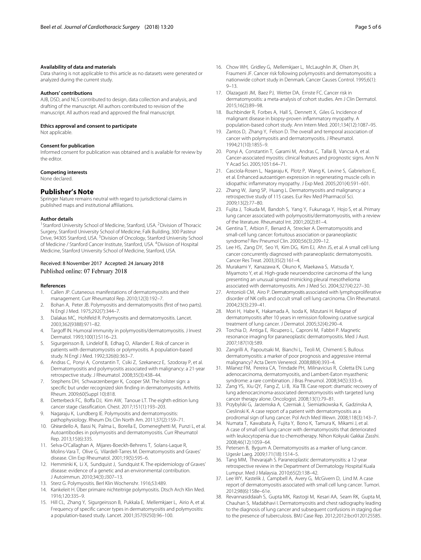#### **Availability of data and materials**

Data sharing is not applicable to this article as no datasets were generated or analyzed during the current study.

#### **Authors' contributions**

AJB, DSD, and NLS contributed to design, data collection and analysis, and drafting of the manuscript. All authors contributed to revision of the manuscript. All authors read and approved the final manuscript.

#### **Ethics approval and consent to participate**

Not applicable.

#### **Consent for publication**

Informed consent for publication was obtained and is available for review by the editor.

#### **Competing interests**

None declared.

## **Publisher's Note**

Springer Nature remains neutral with regard to jurisdictional claims in published maps and institutional affiliations.

#### **Author details**

<sup>1</sup> Stanford University School of Medicine, Stanford, USA. <sup>2</sup> Division of Thoracic Surgery, Stanford University School of Medicine, Falk Building, 300 Pasteur Drive, 94305 Stanford, USA. <sup>3</sup> Division of Oncology, Stanford University School of Medicine / Stanford Cancer Institute, Stanford, USA. 4Division of Hospital Medicine, Stanford University School of Medicine, Stanford, USA.

### Received: 8 November 2017 Accepted: 24 January 2018 Published online: 07 February 2018

#### **References**

- <span id="page-4-0"></span>1. Callen JP. Cutaneous manifestations of dermatomyositis and their management. Curr Rheumatol Rep. 2010;12(3):192–7.
- <span id="page-4-1"></span>2. Bohan A, Peter JB. Polymyositis and dermatomyositis (first of two parts). N Engl J Med. 1975;292(7):344–7.
- <span id="page-4-2"></span>3. Dalakas MC, Hohlfeld R. Polymyositis and dermatomyositis. Lancet. 2003;362(9388):971–82.
- <span id="page-4-3"></span>4. Targoff IN. Humoral immunity in polymyositis/dermatomyositis. J Invest Dermatol. 1993;100(1):S116–23.
- <span id="page-4-4"></span>5. Sigurgeirsson B, Lindelof B, Edhag O, Allander E. Risk of cancer in patients with dermatomyositis or polymyositis. A population-based study. N Engl J Med. 1992;326(6):363–7.
- <span id="page-4-5"></span>6. Andras C, Ponyi A, Constantin T, Csiki Z, Szekanecz E, Szodoray P, et al. Dermatomyositis and polymyositis associated with malignancy: a 21-year retrospective study. J Rheumatol. 2008;35(3):438–44.
- <span id="page-4-6"></span>7. Stephens DH, Schwarzenberger K, Cooper SM. The holster sign: a specific but under recognized skin finding in dermatomyositis. Arthritis Rheum. 2009;60(Suppl 10):818.
- <span id="page-4-7"></span>8. Detterbeck FC, Boffa DJ, Kim AW, Tanoue LT. The eighth edition lung cancer stage classification. Chest. 2017;151(1):193–203.
- <span id="page-4-8"></span>9. Nagaraju K, Lundberg IE. Polymyositis and dermatomyositis: pathophysiology. Rheum Dis Clin North Am. 2011;37(2):159–71.
- <span id="page-4-9"></span>10. Ghirardello A, Bassi N, Palma L, Borella E, Domeneghetti M, Punzi L, et al. Autoantibodies in polymyositis and dermatomyositis. Curr Rheumatol Rep. 2013;15(6):335.
- <span id="page-4-10"></span>11. Selva-O'Callaghan A, Mijares-Boeckh-Behrens T, Solans-Laque R, Molins-Vara T, Olive G, Vilardell-Tarres M. Dermatomyositis and Graves' disease. Clin Exp Rheumatol. 2001;19(5):595–6.
- <span id="page-4-11"></span>12. Hemminki K, Li X, Sundquist J, Sundquist K. The epidemiology of Graves' disease: evidence of a genetic and an environmental contribution. J Autoimmun. 2010;34(3):J307–13.
- <span id="page-4-12"></span>13. Sterz G. Polymyositis. Berl Klin Wochenshr. 1916;53:489.
- <span id="page-4-13"></span>14. Kankeleit H. Über primaire nichteitrige polymyositis. Dtsch Arch Klin Med. 1916;120:335–9.
- <span id="page-4-14"></span>15. Hill CL, Zhang Y, Sigurgeirsson B, Pukkala E, Mellemkjaer L, Airio A, et al. Frequency of specific cancer types in dermatomyositis and polymyositis: a population-based study. Lancet. 2001;357(9250):96–100.
- <span id="page-4-16"></span>16. Chow WH, Gridley G, Mellemkjaer L, McLaughlin JK, Olsen JH, Fraumeni JF. Cancer risk following polymyositis and dermatomyositis: a nationwide cohort study in Denmark. Cancer Causes Control. 1995;6(1): 9–13.
- 17. Olazagasti JM, Baez PJ, Wetter DA, Ernste FC. Cancer risk in dermatomyositis: a meta-analysis of cohort studies. Am J Clin Dermatol. 2015;16(2):89–98.
- <span id="page-4-15"></span>18. Buchbinder R, Forbes A, Hall S, Dennett X, Giles G. Incidence of malignant disease in biopsy-proven inflammatory myopathy. A population-based cohort study. Ann Intern Med. 2001;134(12):1087–95.
- <span id="page-4-17"></span>19. Zantos D, Zhang Y, Felson D. The overall and temporal association of cancer with polymyositis and dermatomyositis. J Rheumatol. 1994;21(10):1855–9.
- <span id="page-4-18"></span>20. Ponyi A, Constantin T, Garami M, Andras C, Tallai B, Vancsa A, et al. Cancer-associated myositis: clinical features and prognostic signs. Ann N Y Acad Sci. 2005;1051:64–71.
- <span id="page-4-19"></span>21. Casciola-Rosen L, Nagaraju K, Plotz P, Wang K, Levine S, Gabrielson E, et al. Enhanced autoantigen expression in regenerating muscle cells in idiopathic inflammatory myopathy. J Exp Med. 2005;201(4):591–601.
- <span id="page-4-20"></span>22. Zhang W, Jiang SP, Huang L. Dermatomyositis and malignancy: a retrospective study of 115 cases. Eur Rev Med Pharmacol Sci. 2009;13(2):77–80.
- <span id="page-4-21"></span>23. Fujita J, Tokuda M, Bandoh S, Yang Y, Fukunaga Y, Hojo S, et al. Primary lung cancer associated with polymyositis/dermatomyositis, with a review of the literature. Rheumatol Int. 2001;20(2):81–4.
- <span id="page-4-22"></span>24. Gentina T, Arbion F, Benard A, Strecker A. Dermatomyositis and small-cell lung cancer: fortuitous association or paraneoplastic syndrome? Rev Pneumol Clin. 2000;56(3):209–12.
- 25. Lee HS, Zang DY, Seo YI, Kim DG, Kim EJ, Ahn JS, et al. A small cell lung cancer concurrently diagnosed with paraneoplastic dermatomyositis. Cancer Res Treat. 2003;35(2):161–4.
- 26. Murakami Y, Kanazawa K, Okuno K, Maekawa S, Matsuda Y, Miyamoto Y, et al. High-grade neuroendocrine carcinoma of the lung presenting an unusual spread mimicking pleural mesothelioma associated with dermatomyositis. Am J Med Sci. 2004;327(4):227–30.
- 27. Antonioli CM, Airo P. Dermatomyositis associated with lymphoproliferative disorder of NK cells and occult small cell lung carcinoma. Clin Rheumatol. 2004;23(3):239–41.
- 28. Mori H, Habe K, Hakamada A, Isoda K, Mizutani H. Relapse of dermatomyositis after 10 years in remission following curative surgical treatment of lung cancer. J Dermatol. 2005;32(4):290–4.
- 29. Torchia D, Antiga E, Ricupero L, Caproni M, Fabbri P. Magnetic resonance imaging for paraneoplastic dermatomyositis. Med J Aust. 2007;187(10):589.
- 30. Zangrilli A, Papoutsaki M, Bianchi L, Teoli M, Chimenti S. Bullous dermatomyositis: a marker of poor prognosis and aggressive internal malignancy? Acta Derm Venereol. 2008;88(4):393–4.
- 31. Milanez FM, Pereira CA, Trindade PH, Milinavicius R, Coletta EN. Lung adenocarcinoma, dermatomyositis, and Lambert-Eaton myasthenic syndrome: a rare combination. J Bras Pneumol. 2008;34(5):333–6.
- <span id="page-4-23"></span>32. Zang YS, Xiu QY, Fang Z, Li B, Xia TB. Case report: dramatic recovery of lung adenocarcinoma-associated dermatomyositis with targeted lung cancer therapy alone. Oncologist. 2008;13(1):79–81.
- <span id="page-4-24"></span>33. Przybylski G, Jarzemska A, Czerniak J, Siemiatkowska K, Gadzinska A, Cieslinski K. A case report of a patient with dermatomyositis as a prodromal sign of lung cancer. Pol Arch Med Wewn. 2008;118(3):143–7.
- 34. Numata T, Kawabata A, Fujita Y, Bono K, Tamura K, Mikami J, et al. A case of small cell lung cancer with dermatomyositis that deteriorated with leukocytopenia due to chemotherapy. Nihon Kokyuki Gakkai Zasshi. 2008;46(12):1059–64.
- 35. Petersen B, Bygum A. Dermatomyositis as a marker of lung cancer. Ugeskr Laeg. 2009;171(18):1514–5.
- 36. Tang MM, Thevarajah S. Paraneoplastic dermatomyositis: a 12-year retrospective review in the Department of Dermatology Hospital Kuala Lumpur. Med J Malaysia. 2010;65(2):138–42.
- 37. Lee WY, Kastelik J, Campbell A, Avery G, McGivern D, Lind M. A case report of dermatomyositis associated with small cell lung cancer. Tumori. 2012;98(6):158e–61e.
- 38. Revannasiddaiah S, Gupta MK, Rastogi M, Kesari AA, Seam RK, Gupta M, Chauhan S, Madabhavi I. Dermatomyositis and chest radiography leading to the diagnosis of lung cancer and subsequent confusions in staging due to the presence of tuberculosis. BMJ Case Rep. 2012;2012:bcr0120125585.